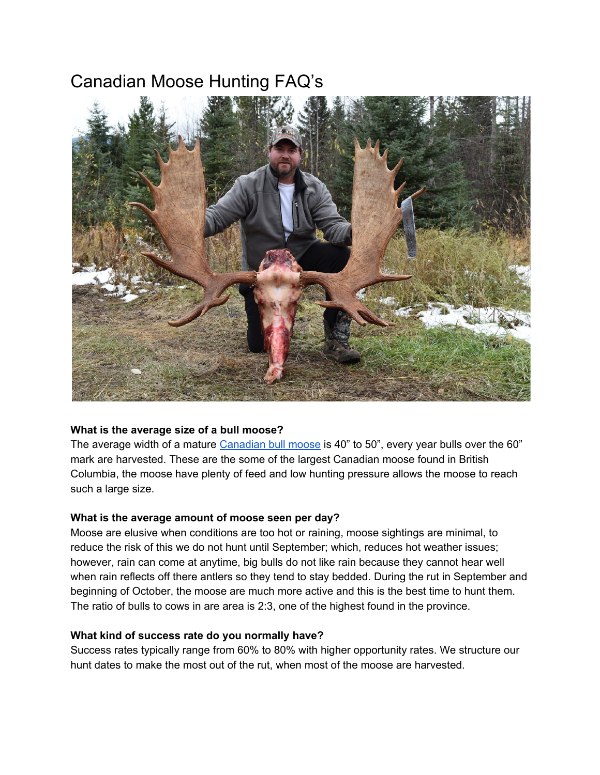# Canadian Moose Hunting FAQ's



#### **What is the average size of a bull moose?**

The average width of a mature [Canadian](http://toaltd.com/project/canadian-moose-hunts/) bull moose is 40" to 50", every year bulls over the 60" mark are harvested. These are the some of the largest Canadian moose found in British Columbia, the moose have plenty of feed and low hunting pressure allows the moose to reach such a large size.

#### **What is the average amount of moose seen per day?**

Moose are elusive when conditions are too hot or raining, moose sightings are minimal, to reduce the risk of this we do not hunt until September; which, reduces hot weather issues; however, rain can come at anytime, big bulls do not like rain because they cannot hear well when rain reflects off there antlers so they tend to stay bedded. During the rut in September and beginning of October, the moose are much more active and this is the best time to hunt them. The ratio of bulls to cows in are area is 2:3, one of the highest found in the province.

#### **What kind of success rate do you normally have?**

Success rates typically range from 60% to 80% with higher opportunity rates. We structure our hunt dates to make the most out of the rut, when most of the moose are harvested.